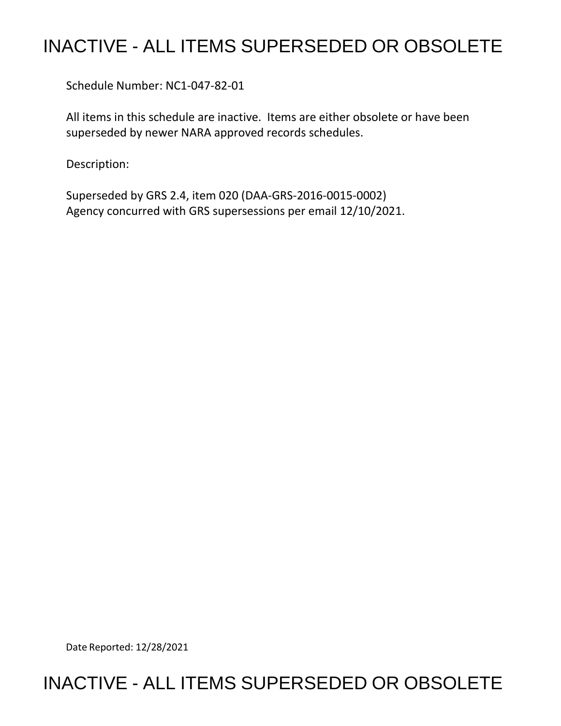## INACTIVE - ALL ITEMS SUPERSEDED OR OBSOLETE

Schedule Number: NC1-047-82-01

 All items in this schedule are inactive. Items are either obsolete or have been superseded by newer NARA approved records schedules.

Description:

 Superseded by GRS 2.4, item 020 (DAA-GRS-2016-0015-0002) Agency concurred with GRS supersessions per email 12/10/2021.

Date Reported: 12/28/2021

## INACTIVE - ALL ITEMS SUPERSEDED OR OBSOLETE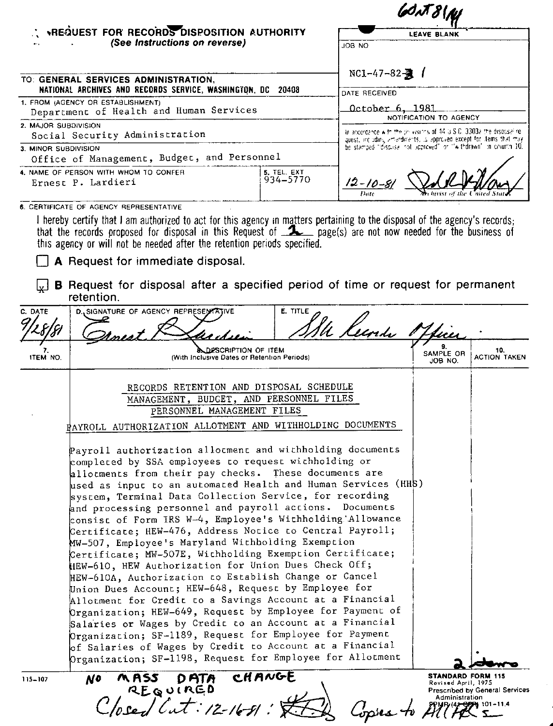|                                                                                                                                                                                                                                                                                                    |                         | WAT81N<br><b>LEAVE BLANK</b><br>OM BOL                                                                                                       |  |  |
|----------------------------------------------------------------------------------------------------------------------------------------------------------------------------------------------------------------------------------------------------------------------------------------------------|-------------------------|----------------------------------------------------------------------------------------------------------------------------------------------|--|--|
| : *REQUEST FOR RECORDS DISPOSITION AUTHORITY<br>(See Instructions on reverse)                                                                                                                                                                                                                      |                         |                                                                                                                                              |  |  |
|                                                                                                                                                                                                                                                                                                    |                         |                                                                                                                                              |  |  |
| TO: GENERAL SERVICES ADMINISTRATION,<br>NATIONAL ARCHIVES AND RECORDS SERVICE, WASHINGTON, DC 20408                                                                                                                                                                                                |                         | NC1-47-82-<br><br>-82-<br><br>                                                                                                               |  |  |
| 1. FROM (AGENCY OR ESTABLISHMENT)<br>Department of Health and Human Services                                                                                                                                                                                                                       |                         | <u>October 6, 1981</u><br>NOTIFICATION TO AGENCY                                                                                             |  |  |
| 2. MAJOR SUBDIVISION<br>Social Security Administration                                                                                                                                                                                                                                             |                         | In accordance with the privisions of 44 U.S.C. 3303a the disocsalice.<br>quest, and ading amendiments, is approved except for items that may |  |  |
| 3. MINOR SUBDIVISION<br>Office of Management, Budget, and Personnel                                                                                                                                                                                                                                |                         | be stamped "discusse not approved" or "withdrawn" in collution 10.                                                                           |  |  |
| 4. NAME OF PERSON WITH WHOM TO CONFER<br>Ernest P. Lardieri                                                                                                                                                                                                                                        | 5. TEL. EXT<br>934-5770 | $12 - 10 - 81$<br>Archivist of the United                                                                                                    |  |  |
| 6. CERTIFICATE OF AGENCY REPRESENTATIVE<br>I hereby certify that I am authorized to act for this agency in matters pertaining to the disposal of the agency's records;<br>that the records prepared for dispensed in this Dequant of $\mathbf{F}$ appeals) are not pour pooded for the hunipege of |                         |                                                                                                                                              |  |  |

that the records proposed for disposal in this Request of **2** page(s) are not now needed for the business of this agency or will not be needed after the retention periods specified.

A Request for immediate disposal.

 $\sqrt{\frac{1}{x}}$  **B** Request for disposal after a specified period of time or request for permanent retention.

| E. TITLE<br>C. DATE<br>D. SIGNATURE OF AGENCY REPRESENTATIVE<br>U Keenda l<br>DESCRIPTION OF ITEM<br>10.<br>SAMPLE OR<br>ITEM NO.<br>(With Inclusive Dates or Retention Periods)<br>JOB NO.<br>RECORDS RETENTION AND DISPOSAL SCHEDULE<br>MANAGEMENT, BUDGET, AND PERSONNEL FILES<br>PERSONNEL MANAGEMENT FILES<br>PAYROLL AUTHORIZATION ALLOTMENT AND WITHHOLDING DOCUMENTS<br>Payroll authorization allotment and withholding documents<br>completed by SSA employees to request withholding or<br>allotments from their pay checks. These documents are<br>used as input to an automated Health and Human Services (HHS)<br>system, Terminal Data Collection Service, for recording<br>and processing personnel and payroll actions. Documents<br>consist of Form IRS W-4, Employee's Withholding Allowance<br>Certificate; HEW-476, Address Notice to Central Payroll;<br>MW-507, Employee's Maryland Withbolding Exemption<br>Certificate; MW-507E, Withholding Exemption Certificate;<br>HEW-610, HEW Authorization for Union Dues Check Off;<br>HEW-610A, Authorization to Establish Change or Cancel<br>Union Dues Account; HEW-648, Request by Employee for<br>Allotment for Credit to a Savings Account at a Financial<br>Organization; HEW-649, Request by Employee for Payment of<br>Salaries or Wages by Credic to an Account at a Financial<br>Organization; SF-1189, Request for Employee for Payment<br>of Salaries of Wages by Credit to Account at a Financial<br>Organization; SF-1198, Request for Employee for Allotment<br>CHANGE<br>STANDARD FORM 115<br>MASS<br><b>DATA</b><br>N0<br>115-107<br>Revised April, 1975 | 1 U.C.I.I.UIT. |  |                     |
|---------------------------------------------------------------------------------------------------------------------------------------------------------------------------------------------------------------------------------------------------------------------------------------------------------------------------------------------------------------------------------------------------------------------------------------------------------------------------------------------------------------------------------------------------------------------------------------------------------------------------------------------------------------------------------------------------------------------------------------------------------------------------------------------------------------------------------------------------------------------------------------------------------------------------------------------------------------------------------------------------------------------------------------------------------------------------------------------------------------------------------------------------------------------------------------------------------------------------------------------------------------------------------------------------------------------------------------------------------------------------------------------------------------------------------------------------------------------------------------------------------------------------------------------------------------------------------------------------------------------------------------------|----------------|--|---------------------|
|                                                                                                                                                                                                                                                                                                                                                                                                                                                                                                                                                                                                                                                                                                                                                                                                                                                                                                                                                                                                                                                                                                                                                                                                                                                                                                                                                                                                                                                                                                                                                                                                                                             |                |  |                     |
|                                                                                                                                                                                                                                                                                                                                                                                                                                                                                                                                                                                                                                                                                                                                                                                                                                                                                                                                                                                                                                                                                                                                                                                                                                                                                                                                                                                                                                                                                                                                                                                                                                             |                |  |                     |
|                                                                                                                                                                                                                                                                                                                                                                                                                                                                                                                                                                                                                                                                                                                                                                                                                                                                                                                                                                                                                                                                                                                                                                                                                                                                                                                                                                                                                                                                                                                                                                                                                                             |                |  | <b>ACTION TAKEN</b> |
|                                                                                                                                                                                                                                                                                                                                                                                                                                                                                                                                                                                                                                                                                                                                                                                                                                                                                                                                                                                                                                                                                                                                                                                                                                                                                                                                                                                                                                                                                                                                                                                                                                             |                |  |                     |
| <b>Prescribed by General Services</b><br>Administration<br>osed Cut: 12-16-81:                                                                                                                                                                                                                                                                                                                                                                                                                                                                                                                                                                                                                                                                                                                                                                                                                                                                                                                                                                                                                                                                                                                                                                                                                                                                                                                                                                                                                                                                                                                                                              | REQUIRED       |  |                     |